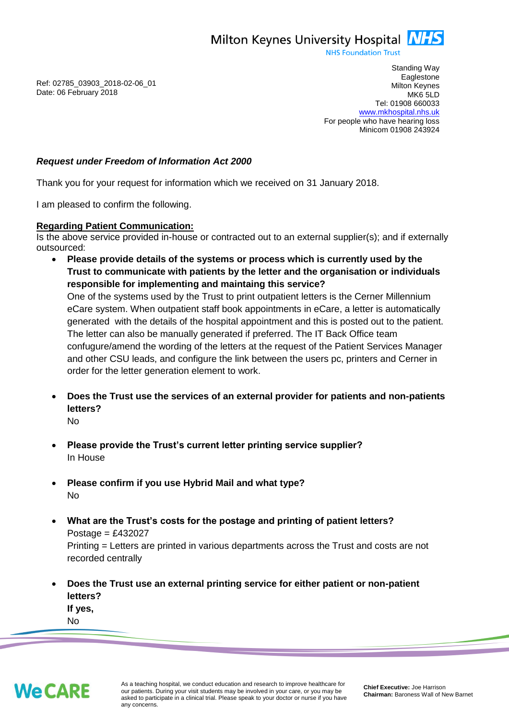Milton Keynes University Hospital **NHS** 

**NHS Foundation Trust** 

Ref: 02785\_03903\_2018-02-06\_01 Date: 06 February 2018

Standing Way **Eaglestone** Milton Keynes MK6 5LD Tel: 01908 660033 [www.mkhospital.nhs.uk](http://www.mkhospital.nhs.uk/) For people who have hearing loss Minicom 01908 243924

## *Request under Freedom of Information Act 2000*

Thank you for your request for information which we received on 31 January 2018.

I am pleased to confirm the following.

## **Regarding Patient Communication:**

Is the above service provided in-house or contracted out to an external supplier(s); and if externally outsourced:

- **Please provide details of the systems or process which is currently used by the Trust to communicate with patients by the letter and the organisation or individuals responsible for implementing and maintaing this service?** One of the systems used by the Trust to print outpatient letters is the Cerner Millennium eCare system. When outpatient staff book appointments in eCare, a letter is automatically generated with the details of the hospital appointment and this is posted out to the patient. The letter can also be manually generated if preferred. The IT Back Office team confugure/amend the wording of the letters at the request of the Patient Services Manager and other CSU leads, and configure the link between the users pc, printers and Cerner in order for the letter generation element to work.
- **Does the Trust use the services of an external provider for patients and non-patients letters?**
	- No
- **Please provide the Trust's current letter printing service supplier?** In House
- **Please confirm if you use Hybrid Mail and what type?** No
- **What are the Trust's costs for the postage and printing of patient letters?** Postage =  $£432027$

Printing = Letters are printed in various departments across the Trust and costs are not recorded centrally

 **Does the Trust use an external printing service for either patient or non-patient letters?**

**If yes,** No